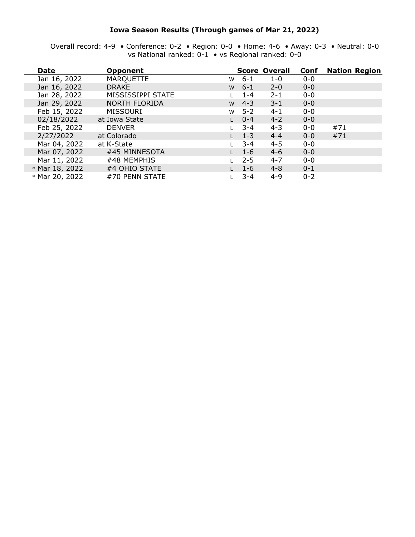#### **Iowa Season Results (Through games of Mar 21, 2022)**

Overall record: 4-9 • Conference: 0-2 • Region: 0-0 • Home: 4-6 • Away: 0-3 • Neutral: 0-0 vs National ranked: 0-1 • vs Regional ranked: 0-0

| <b>Date</b>    | <b>Opponent</b>      |   |         | <b>Score Overall</b> | Conf    | <b>Nation Region</b> |
|----------------|----------------------|---|---------|----------------------|---------|----------------------|
| Jan 16, 2022   | <b>MARQUETTE</b>     | W | $6 - 1$ | $1 - 0$              | $0 - 0$ |                      |
| Jan 16, 2022   | <b>DRAKE</b>         | W | $6 - 1$ | $2 - 0$              | $0 - 0$ |                      |
| Jan 28, 2022   | MISSISSIPPI STATE    |   | $1 - 4$ | $2 - 1$              | $0 - 0$ |                      |
| Jan 29, 2022   | <b>NORTH FLORIDA</b> | W | $4 - 3$ | $3 - 1$              | $0 - 0$ |                      |
| Feb 15, 2022   | <b>MISSOURI</b>      | W | $5 - 2$ | $4 - 1$              | $0 - 0$ |                      |
| 02/18/2022     | at Iowa State        |   | $0 - 4$ | $4 - 2$              | $0 - 0$ |                      |
| Feb 25, 2022   | <b>DENVER</b>        |   | 3-4     | $4 - 3$              | $0 - 0$ | #71                  |
| 2/27/2022      | at Colorado          |   | $1 - 3$ | $4 - 4$              | $0 - 0$ | #71                  |
| Mar 04, 2022   | at K-State           |   | $3 - 4$ | $4 - 5$              | $0 - 0$ |                      |
| Mar 07, 2022   | #45 MINNESOTA        |   | $1 - 6$ | $4 - 6$              | $0 - 0$ |                      |
| Mar 11, 2022   | #48 MEMPHIS          |   | $2 - 5$ | $4 - 7$              | $0 - 0$ |                      |
| * Mar 18, 2022 | #4 OHIO STATE        |   | $1 - 6$ | $4 - 8$              | $0 - 1$ |                      |
| * Mar 20, 2022 | #70 PENN STATE       |   | $3 - 4$ | $4 - 9$              | $0 - 2$ |                      |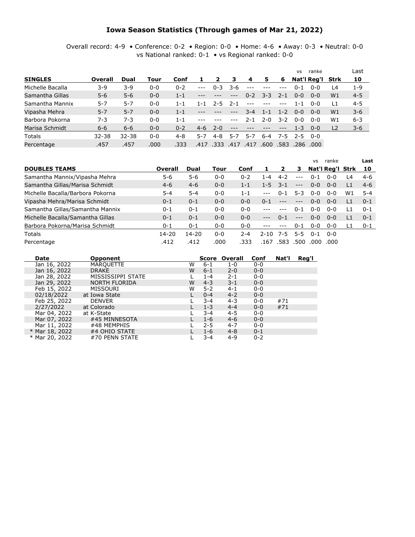### **Iowa Season Statistics (Through games of Mar 21, 2022)**

Overall record: 4-9 • Conference: 0-2 • Region: 0-0 • Home: 4-6 • Away: 0-3 • Neutral: 0-0 vs National ranked: 0-1 • vs Regional ranked: 0-0

|                  |           |           |         |         |         |         |       |         |         |         | <b>VS</b> | ranke            |                | Last    |
|------------------|-----------|-----------|---------|---------|---------|---------|-------|---------|---------|---------|-----------|------------------|----------------|---------|
| <b>SINGLES</b>   | Overall   | Dual      | Tour    | Conf    |         | 2       | з     | -4      | 5       | 6       |           | Nat'l Reg'l Strk |                | 10      |
| Michelle Bacalla | $3-9$     | 3-9       | $0 - 0$ | $0 - 2$ | $- - -$ | $0 - 3$ | 3-6   | $- - -$ |         |         | $0 - 1$   | $0 - 0$          | L4             | $1 - 9$ |
| Samantha Gillas  | $5 - 6$   | $5 - 6$   | $0 - 0$ | $1 - 1$ |         | ---     | $---$ | $0 - 2$ | $3 - 3$ | $2 - 1$ | $0 - 0$   | $0 - 0$          | W <sub>1</sub> | $4 - 5$ |
| Samantha Mannix  | $5 - 7$   | 5-7       | $0 - 0$ | $1 - 1$ | 1 - 1   | $2 - 5$ | 2-1   | $- - -$ |         |         | 1-1       | $0 - 0$          | L1             | $4 - 5$ |
| Vipasha Mehra    | $5 - 7$   | $5 - 7$   | $0 - 0$ | $1 - 1$ | $---$   |         | $---$ | $3 - 4$ | $1 - 1$ | $1 - 2$ | $0 - 0$   | $0 - 0$          | W <sub>1</sub> | $3 - 6$ |
| Barbora Pokorna  | $7 - 3$   | 7-3       | $0 - 0$ | $1 - 1$ |         |         |       | $2 - 1$ | $2 - 0$ | $3 - 2$ | $0 - 0$   | $0 - 0$          | W1             | $6 - 3$ |
| Marisa Schmidt   | $6 - 6$   | $6 - 6$   | $0 - 0$ | $0 - 2$ | $4 - 6$ | $2 - 0$ |       |         | ---     |         | $1 - 3$   | $0 - 0$          | L <sub>2</sub> | $3 - 6$ |
| <b>Totals</b>    | $32 - 38$ | $32 - 38$ | $0 - 0$ | 4-8     | 5-7     | $4 - 8$ | 5-7   | 5-7     | 6-4     | $7 - 5$ |           | $2 - 5$ 0-0      |                |         |
| Percentage       | .457      | .457      | .000    | .333    | .417    | .333    | .41   | .417    | .600    | .583    |           | .286 .000        |                |         |

|                                  |         |         |         |         |         |         |         | <b>VS</b> | ranke                   |    | Last    |
|----------------------------------|---------|---------|---------|---------|---------|---------|---------|-----------|-------------------------|----|---------|
| <b>DOUBLES TEAMS</b>             | Overall | Dual    | Tour    | Conf    |         |         | 3       |           | <b>Nat'l Reg'l Strk</b> |    | 10      |
| Samantha Mannix/Vipasha Mehra    | $5-6$   | $5-6$   | $0 - 0$ | $0 - 2$ | l -4    | $4 - 2$ | $---$   | $0 - 1$   | $0 - 0$                 | L4 | $4-6$   |
| Samantha Gillas/Marisa Schmidt   | $4 - 6$ | $4 - 6$ | $0 - 0$ | $1 - 1$ | $1 - 5$ | $-3-1$  | $---$   | $0 - 0$   | $0 - 0$                 | L1 | $4-6$   |
| Michelle Bacalla/Barbora Pokorna | $5 - 4$ | $5 - 4$ | $0 - 0$ | $1 - 1$ | $- - -$ | $0 - 1$ | $5 - 3$ | $0 - 0$   | $0 - 0$                 | W1 | $5 - 4$ |
| Vipasha Mehra/Marisa Schmidt     | $0 - 1$ | $0 - 1$ | $0 - 0$ | $0 - 0$ | $0 - 1$ | $---$   | $---$   | $0 - 0$   | $0 - 0$                 | L1 | $0 - 1$ |
| Samantha Gillas/Samantha Mannix  | $0 - 1$ | $0 - 1$ | $0 - 0$ | $0 - 0$ |         |         | $0 - 1$ | $0 - 0$   | $0 - 0$                 | ۱1 | $0 - 1$ |
| Michelle Bacalla/Samantha Gillas | $0 - 1$ | $0 - 1$ | $0 - 0$ | $0 - 0$ | $---$   | $0 - 1$ | $---$   | $0 - 0$   | $0 - 0$                 | L1 | $0 - 1$ |
| Barbora Pokorna/Marisa Schmidt   | $0 - 1$ | $0 - 1$ | $0 - 0$ | $0 - 0$ | $- - -$ |         | $0 - 1$ | $0 - 0$   | $0 - 0$                 |    | $0 - 1$ |
| <b>Totals</b>                    | 14-20   | 14-20   | $0 - 0$ | $2 - 4$ | 2-10    | $7 - 5$ | $5 - 5$ | $0 - 1$   | ი-ი                     |    |         |
| Percentage                       | .412    | .412    | .000    | .333    | .167    | .583    | .500    | .000      | .000                    |    |         |

| Date           | <b>Opponent</b>   |   |         | Score Overall | Conf    | Nat'l | Reg'l |
|----------------|-------------------|---|---------|---------------|---------|-------|-------|
| Jan 16, 2022   | <b>MARQUETTE</b>  | w | $6 - 1$ | $1 - 0$       | $0 - 0$ |       |       |
| Jan 16, 2022   | <b>DRAKE</b>      | W | $6 - 1$ | $2 - 0$       | $0 - 0$ |       |       |
| Jan 28, 2022   | MISSISSIPPI STATE |   | $1 - 4$ | $2 - 1$       | $0 - 0$ |       |       |
| Jan 29, 2022   | NORTH FLORIDA     | W | $4 - 3$ | $3 - 1$       | $0 - 0$ |       |       |
| Feb 15, 2022   | MISSOURI          | w | $5 - 2$ | $4 - 1$       | $0 - 0$ |       |       |
| 02/18/2022     | at Iowa State     |   | $0 - 4$ | $4 - 2$       | $0 - 0$ |       |       |
| Feb 25, 2022   | <b>DENVER</b>     |   | $3 - 4$ | $4 - 3$       | $0 - 0$ | #71   |       |
| 2/27/2022      | at Colorado       |   | $1 - 3$ | $4 - 4$       | $0 - 0$ | #71   |       |
| Mar 04, 2022   | at K-State        |   | $3 - 4$ | $4 - 5$       | $0 - 0$ |       |       |
| Mar 07, 2022   | #45 MINNESOTA     |   | $1 - 6$ | $4 - 6$       | $0 - 0$ |       |       |
| Mar 11, 2022   | #48 MEMPHIS       |   | $2 - 5$ | $4 - 7$       | $0 - 0$ |       |       |
| * Mar 18, 2022 | #4 OHIO STATE     |   | $1 - 6$ | $4 - 8$       | $0 - 1$ |       |       |
| * Mar 20, 2022 | #70 PENN STATE    |   | $3 - 4$ | $4 - 9$       | $0 - 2$ |       |       |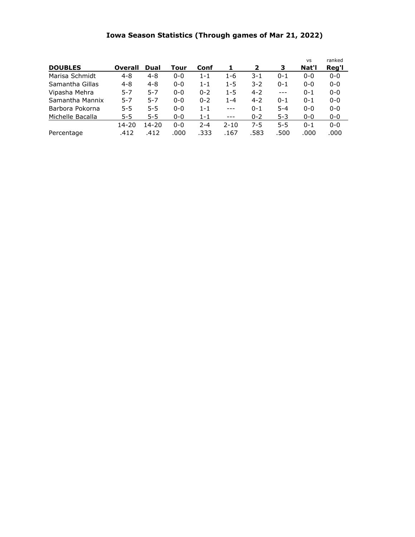## **Iowa Season Statistics (Through games of Mar 21, 2022)**

| <b>DOUBLES</b>   | Overall   | Dual      | Tour    | Conf    | 1        | 2       | 3       | <b>VS</b><br>Nat'l | ranked<br>Reg'l |
|------------------|-----------|-----------|---------|---------|----------|---------|---------|--------------------|-----------------|
| Marisa Schmidt   | $4 - 8$   | $4 - 8$   | $0 - 0$ | $1 - 1$ | $1 - 6$  | $3 - 1$ | $0 - 1$ | $0 - 0$            | $0 - 0$         |
| Samantha Gillas  | $4 - 8$   | $4 - 8$   | $0 - 0$ | $1 - 1$ | $1 - 5$  | $3-2$   | $0 - 1$ | $0 - 0$            | $0 - 0$         |
| Vipasha Mehra    | $5 - 7$   | $5 - 7$   | $0 - 0$ | $0 - 2$ | $1 - 5$  | $4 - 2$ | $---$   | $0 - 1$            | $0 - 0$         |
| Samantha Mannix  | 5-7       | $5-7$     | $0 - 0$ | $0 - 2$ | $1 - 4$  | $4 - 2$ | $0 - 1$ | $0 - 1$            | $0 - 0$         |
| Barbora Pokorna  | $5 - 5$   | $5 - 5$   | $0 - 0$ | $1 - 1$ | $---$    | $0 - 1$ | $5 - 4$ | $0 - 0$            | $0 - 0$         |
| Michelle Bacalla | $5 - 5$   | $5 - 5$   | $0 - 0$ | $1 - 1$ | $---$    | $0 - 2$ | $5 - 3$ | $0 - 0$            | $0 - 0$         |
|                  | $14 - 20$ | $14 - 20$ | $0 - 0$ | $2 - 4$ | $2 - 10$ | $7 - 5$ | $5 - 5$ | $0 - 1$            | $0 - 0$         |
| Percentage       | .412      | .412      | .000    | .333    | .167     | .583    | .500    | .000               | .000            |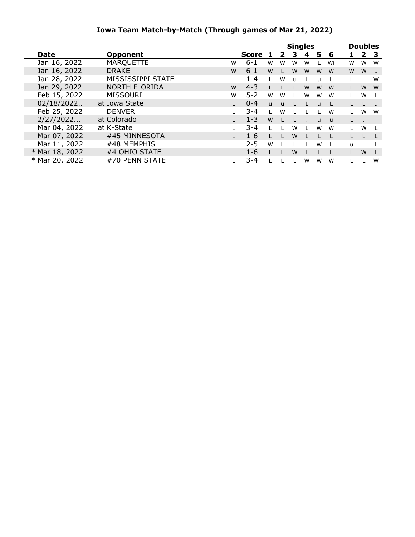### **Iowa Team Match-by-Match (Through games of Mar 21, 2022)**

|                |                      |   | <b>Singles</b> |              |              |              |   | <b>Doubles</b> |              |   |   |                |
|----------------|----------------------|---|----------------|--------------|--------------|--------------|---|----------------|--------------|---|---|----------------|
| Date           | <b>Opponent</b>      |   | Score          |              | $\mathbf{2}$ | з            | 4 | 5.             | 6            |   |   | 2 <sub>3</sub> |
| Jan 16, 2022   | <b>MARQUETTE</b>     | W | $6 - 1$        | W            | W            | W            | W |                | Wf           | W | W | W              |
| Jan 16, 2022   | <b>DRAKE</b>         | W | $6 - 1$        | W            |              | W            | W | W              | W            | W | W | $\mathbf{u}$   |
| Jan 28, 2022   | MISSISSIPPI STATE    |   | $1 - 4$        |              | W            | $\mathbf{u}$ |   | $\mathbf{u}$   |              |   |   | W              |
| Jan 29, 2022   | <b>NORTH FLORIDA</b> | W | $4 - 3$        |              |              |              | W | W              | W            |   | W | W              |
| Feb 15, 2022   | MISSOURI             | W | $5 - 2$        | W            | W            |              | W | W              | W            |   | W | $\mathbf{I}$   |
| 02/18/2022     | at Iowa State        |   | $0 - 4$        | $\mathbf{U}$ | <b>u</b>     |              |   | $\mathbf{u}$   |              |   |   | <b>u</b>       |
| Feb 25, 2022   | <b>DENVER</b>        |   | $3 - 4$        |              | W            |              |   |                | W            |   | W | W              |
| 2/27/2022      | at Colorado          |   | $1 - 3$        | W            |              |              |   | $\mathbf{u}$   | $\mathbf{u}$ |   |   |                |
| Mar 04, 2022   | at K-State           |   | $3 - 4$        |              |              | W            |   | W              | W            |   | W | $\mathbf{L}$   |
| Mar 07, 2022   | #45 MINNESOTA        |   | $1 - 6$        |              |              | W            |   |                |              |   |   |                |
| Mar 11, 2022   | #48 MEMPHIS          |   | $2 - 5$        | W            |              |              |   | W              |              | u |   |                |
| * Mar 18, 2022 | #4 OHIO STATE        |   | $1 - 6$        |              |              | W            |   |                |              |   | W |                |
| * Mar 20, 2022 | #70 PENN STATE       |   | $3 - 4$        |              |              |              | W | W              | W            |   |   | W              |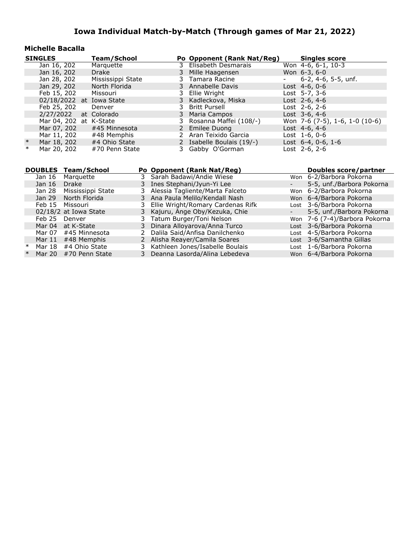#### **Michelle Bacalla**

|        | <b>SINGLES</b>                  |              |                                    | <b>Team/School</b> |              |   | Po Opponent (Rank Nat/Reg)                                     | <b>Singles score</b>                                 |
|--------|---------------------------------|--------------|------------------------------------|--------------------|--------------|---|----------------------------------------------------------------|------------------------------------------------------|
|        | Jan 16, 202                     |              |                                    | Marquette          |              | 3 | Elisabeth Desmarais                                            | Won 4-6, 6-1, 10-3                                   |
|        | Jan 16, 202                     |              |                                    | <b>Drake</b>       |              | 3 | Mille Haagensen                                                | Won 6-3, 6-0                                         |
|        | Jan 28, 202                     |              |                                    | Mississippi State  |              | 3 | Tamara Racine                                                  | 6-2, 4-6, 5-5, unf.                                  |
|        | Jan 29, 202                     |              |                                    | North Florida      |              | 3 | Annabelle Davis                                                | Lost 4-6, 0-6                                        |
|        | Feb 15, 202                     |              |                                    | Missouri           |              | 3 | Ellie Wright                                                   | Lost 5-7, 3-6                                        |
|        | 02/18/2022                      |              |                                    | at Iowa State      |              | 3 | Kadleckova, Miska                                              | Lost 2-6, 4-6                                        |
|        | Feb 25, 202                     |              |                                    | Denver             |              |   | <b>Britt Pursell</b>                                           | Lost 2-6, 2-6                                        |
|        | 2/27/2022                       |              | at Colorado                        |                    |              | 3 | Maria Campos                                                   | Lost 3-6, 4-6                                        |
|        | Mar 04, 202                     |              | at K-State                         |                    |              |   | Rosanna Maffei (108/-)                                         | Won 7-6 (7-5), 1-6, 1-0 (10-6)                       |
|        | Mar 07, 202                     |              |                                    | #45 Minnesota      |              |   | 2 Emilee Duong                                                 | Lost 4-6, 4-6                                        |
|        | Mar 11, 202                     |              |                                    | #48 Memphis        |              |   | 2 Aran Teixido Garcia                                          | Lost 1-6, 0-6                                        |
| $\ast$ | Mar 18, 202                     |              |                                    | #4 Ohio State      |              |   | 2 Isabelle Boulais (19/-)                                      | Lost $6-4$ , $0-6$ , $1-6$                           |
| $\ast$ | Mar 20, 202                     |              |                                    | #70 Penn State     |              |   | 3 Gabby O'Gorman                                               | Lost $2-6, 2-6$                                      |
|        |                                 |              |                                    |                    |              |   |                                                                |                                                      |
|        |                                 |              |                                    |                    |              |   |                                                                |                                                      |
|        |                                 |              |                                    |                    |              |   |                                                                |                                                      |
|        | <b>DOUBLES Team/School</b>      |              |                                    |                    |              |   | Po Opponent (Rank Nat/Reg)                                     | Doubles score/partner                                |
|        | Jan 16                          | Marquette    |                                    |                    | 3            |   | Sarah Badawi/Andie Wiese                                       | Won 6-2/Barbora Pokorna                              |
|        | Jan 16                          | <b>Drake</b> |                                    |                    | 3            |   | Ines Stephani/Jyun-Yi Lee                                      | 5-5, unf./Barbora Pokorna                            |
|        | Jan 28<br>Jan 29                |              | Mississippi State<br>North Florida |                    | 3<br>3       |   | Alessia Tagliente/Marta Falceto                                | Won 6-2/Barbora Pokorna                              |
|        |                                 | Missouri     |                                    |                    | 3.           |   | Ana Paula Melilo/Kendall Nash                                  | Won 6-4/Barbora Pokorna                              |
|        | Feb 15                          |              |                                    |                    | 3            |   | Ellie Wright/Romary Cardenas Rifk                              | Lost 3-6/Barbora Pokorna                             |
|        | 02/18/2 at Iowa State<br>Feb 25 | Denver       |                                    |                    | 3            |   | Kajuru, Ange Oby/Kezuka, Chie                                  | 5-5, unf./Barbora Pokorna                            |
|        | Mar 04                          | at K-State   |                                    |                    | 3            |   | Tatum Burger/Toni Nelson                                       | Won 7-6 (7-4)/Barbora Pokorna                        |
|        | Mar 07                          |              | #45 Minnesota                      |                    | $\mathbf{2}$ |   | Dinara Alloyarova/Anna Turco<br>Dalila Said/Anfisa Danilchenko | Lost 3-6/Barbora Pokorna<br>Lost 4-5/Barbora Pokorna |
|        | Mar $11$                        |              | #48 Memphis                        |                    | $\mathbf{2}$ |   | Alisha Reayer/Camila Soares                                    | Lost 3-6/Samantha Gillas                             |
| $\ast$ | Mar 18                          |              | #4 Ohio State                      |                    | 3            |   | Kathleen Jones/Isabelle Boulais                                | Lost 1-6/Barbora Pokorna                             |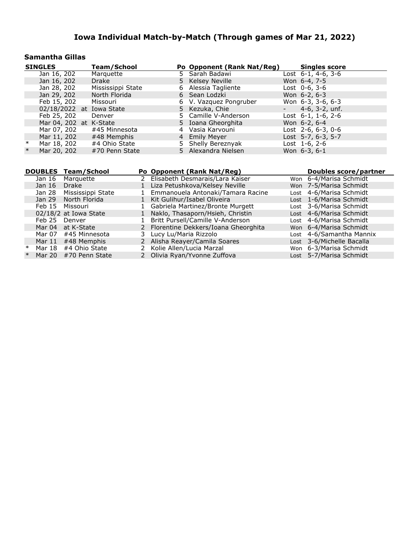#### **Samantha Gillas**

| <b>SINGLES</b>                       |                        | <b>Team/School</b>       |              |                       | Po Opponent (Rank Nat/Reg)                                      |      | <b>Singles score</b>       |                                                        |
|--------------------------------------|------------------------|--------------------------|--------------|-----------------------|-----------------------------------------------------------------|------|----------------------------|--------------------------------------------------------|
| Jan 16, $202$                        |                        | Marquette                |              |                       | 5 Sarah Badawi                                                  |      | Lost $6-1$ , 4-6, 3-6      |                                                        |
| Jan 16, 202                          |                        | <b>Drake</b>             |              |                       | 5 Kelsey Neville                                                |      | Won 6-4, 7-5               |                                                        |
| Jan 28, 202                          |                        | Mississippi State        |              | 6                     | Alessia Tagliente                                               |      | Lost 0-6, 3-6              |                                                        |
| Jan 29, 202                          |                        | North Florida            |              |                       | 6 Sean Lodzki                                                   |      | Won 6-2, 6-3               |                                                        |
| Feb 15, 202                          |                        | Missouri                 |              | 6                     | V. Vazquez Pongruber                                            |      | Won 6-3, 3-6, 6-3          |                                                        |
|                                      |                        | 02/18/2022 at Iowa State |              |                       | 5 Kezuka, Chie                                                  |      | $4-6$ , $3-2$ , unf.       |                                                        |
| Feb 25, 202                          |                        | Denver                   |              |                       | 5 Camille V-Anderson                                            |      | Lost $6-1$ , $1-6$ , $2-6$ |                                                        |
|                                      | Mar 04, 202 at K-State |                          |              |                       | 5 Ioana Gheorghita                                              |      | Won 6-2, 6-4               |                                                        |
| Mar 07, 202                          |                        | #45 Minnesota            |              |                       | 4 Vasia Karvouni                                                |      | Lost 2-6, 6-3, 0-6         |                                                        |
| Mar 11, 202                          |                        | #48 Memphis              |              |                       | 4 Emily Meyer                                                   |      | Lost 5-7, 6-3, 5-7         |                                                        |
| $\ast$<br>Mar 18, 202                |                        | #4 Ohio State            |              |                       | 5 Shelly Bereznyak                                              |      | Lost 1-6, 2-6              |                                                        |
| $\ast$<br>Mar 20, 202                |                        | #70 Penn State           |              |                       | 5 Alexandra Nielsen                                             |      | Won 6-3, 6-1               |                                                        |
|                                      |                        |                          |              |                       |                                                                 |      |                            |                                                        |
|                                      |                        |                          |              |                       |                                                                 |      |                            |                                                        |
|                                      |                        |                          |              |                       |                                                                 |      |                            |                                                        |
| <b>DOUBLES Team/School</b><br>Jan 16 | Marquette              |                          |              |                       | Po Opponent (Rank Nat/Reg)<br>2 Elisabeth Desmarais/Lara Kaiser |      |                            | <b>Doubles score/partner</b><br>Won 6-4/Marisa Schmidt |
| Jan 16                               | <b>Drake</b>           |                          |              |                       | Liza Petushkova/Kelsey Neville                                  |      |                            | Won 7-5/Marisa Schmidt                                 |
| Jan 28                               |                        | Mississippi State        | $\mathbf{1}$ |                       | Emmanouela Antonaki/Tamara Racine                               |      |                            | Lost 4-6/Marisa Schmidt                                |
| Jan 29                               | North Florida          |                          | 1            |                       | Kit Gulihur/Isabel Oliveira                                     |      |                            | Lost 1-6/Marisa Schmidt                                |
| Feb 15                               | Missouri               |                          |              |                       | Gabriela Martinez/Bronte Murgett                                | Lost |                            | 3-6/Marisa Schmidt                                     |
|                                      | 02/18/2 at Iowa State  |                          | $\mathbf{1}$ |                       | Naklo, Thasaporn/Hsieh, Christin                                |      |                            | Lost 4-6/Marisa Schmidt                                |
| Feb 25                               | Denver                 |                          | $\mathbf{1}$ |                       | Britt Pursell/Camille V-Anderson                                |      |                            | Lost 4-6/Marisa Schmidt                                |
| Mar 04                               | at K-State             |                          | 2            |                       | Florentine Dekkers/Ioana Gheorghita                             |      |                            | Won 6-4/Marisa Schmidt                                 |
| Mar 07                               | #45 Minnesota          |                          | 3.           | Lucy Lu/Maria Rizzolo |                                                                 |      |                            | Lost 4-6/Samantha Mannix                               |
|                                      | Mar 11 #48 Memphis     |                          |              |                       | 2 Alisha Reayer/Camila Soares                                   |      |                            | Lost 3-6/Michelle Bacalla                              |
| $\ast$<br>Mar 18                     | #4 Ohio State          |                          | 2            |                       | Kolie Allen/Lucia Marzal                                        |      |                            | Won 6-3/Marisa Schmidt                                 |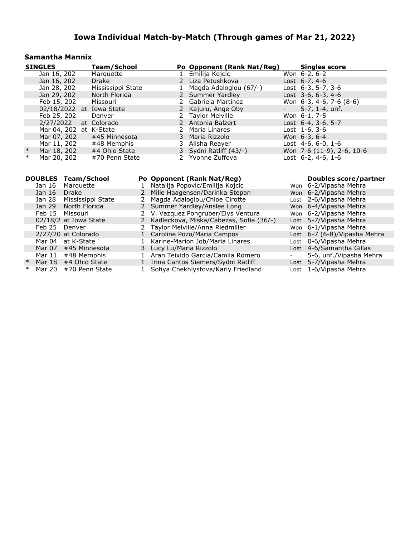#### **Samantha Mannix**

|        | <b>SINGLES</b>           | Team/School       | Po Opponent (Rank Nat/Reg) |                    | <b>Singles score</b>       |  |
|--------|--------------------------|-------------------|----------------------------|--------------------|----------------------------|--|
|        | Jan 16, 202              | Marquette         | 1 Emilija Kojcic           |                    | Won $6-2, 6-2$             |  |
|        | Jan 16, 202              | Drake             | 2 Liza Petushkova          |                    | Lost $6-7, 4-6$            |  |
|        | Jan 28, 202              | Mississippi State | 1 Magda Adaloglou (67/-)   |                    | Lost 6-3, 5-7, 3-6         |  |
|        | Jan 29, 202              | North Florida     | 2 Summer Yardley           |                    | Lost 3-6, 6-3, 4-6         |  |
|        | Feb 15, 202              | Missouri          | 2 Gabriela Martinez        |                    | Won 6-3, 4-6, 7-6 (8-6)    |  |
|        | 02/18/2022 at Iowa State |                   | 2 Kajuru, Ange Oby         | <b>Harry Corp.</b> | 5-7, 1-4, unf.             |  |
|        | Feb 25, 202              | Denver            | 2 Taylor Melville          |                    | Won 6-1, 7-5               |  |
|        | $2/27/2022$ at Colorado  |                   | 2 Antonia Balzert          |                    | Lost $6-4$ , $3-6$ , $5-7$ |  |
|        | Mar 04, 202 at K-State   |                   | 2 Maria Linares            |                    | Lost $1-6, 3-6$            |  |
|        | Mar 07, 202              | #45 Minnesota     | 3 Maria Rizzolo            |                    | Won 6-3, 6-4               |  |
|        | Mar 11, 202              | #48 Memphis       | 3 Alisha Reayer            |                    | Lost $4-6, 6-0, 1-6$       |  |
| $\ast$ | Mar 18, 202              | #4 Ohio State     | 3 Sydni Ratliff (43/-)     |                    | Won 7-6 (11-9), 2-6, 10-6  |  |
| $\ast$ | Mar 20, 202              | #70 Penn State    | 2 Yvonne Zuffova           |                    | Lost $6-2$ , $4-6$ , $1-6$ |  |

| <b>DOUBLES</b> | Team/School           | Po Opponent (Rank Nat/Reg)                |                          | Doubles score/partner        |
|----------------|-----------------------|-------------------------------------------|--------------------------|------------------------------|
| Jan 16         | Marquette             | Natalija Popovic/Emilija Kojcic           |                          | Won 6-2/Vipasha Mehra        |
| Jan 16         | <b>Drake</b>          | 2 Mille Haagensen/Darinka Stepan          |                          | Won 6-2/Vipasha Mehra        |
| Jan 28         | Mississippi State     | 2 Magda Adaloglou/Chloe Cirotte           |                          | Lost 2-6/Vipasha Mehra       |
|                | Jan 29 North Florida  | 2 Summer Yardley/Anslee Long              |                          | Won 6-4/Vipasha Mehra        |
|                | Feb 15 Missouri       | 2 V. Vazquez Pongruber/Elys Ventura       |                          | Won 6-2/Vipasha Mehra        |
|                | 02/18/2 at Iowa State | 2 Kadleckova, Miska/Cabezas, Sofia (36/-) |                          | Lost 5-7/Vipasha Mehra       |
| Feb 25 Denver  |                       | 2 Taylor Melville/Anna Riedmiller         |                          | Won 6-1/Vipasha Mehra        |
|                | 2/27/20 at Colorado   | 1 Caroline Pozo/Maria Campos              |                          | Lost 6-7 (6-8)/Vipasha Mehra |
|                | Mar 04 at K-State     | Karine-Marion Job/Maria Linares           |                          | Lost 0-6/Vipasha Mehra       |
| Mar 07         | #45 Minnesota         | 3 Lucy Lu/Maria Rizzolo                   |                          | Lost 4-6/Samantha Gillas     |
| Mar 11         | #48 Memphis           | Aran Teixido Garcia/Camila Romero         | $\overline{\phantom{0}}$ | 5-6, unf./Vipasha Mehra      |
| Mar 18         | #4 Ohio State         | 1 Irina Cantos Siemers/Sydni Ratliff      |                          | Lost 5-7/Vipasha Mehra       |
| Mar 20         | #70 Penn State        | Sofiya Chekhlystova/Karly Friedland       |                          | Lost 1-6/Vipasha Mehra       |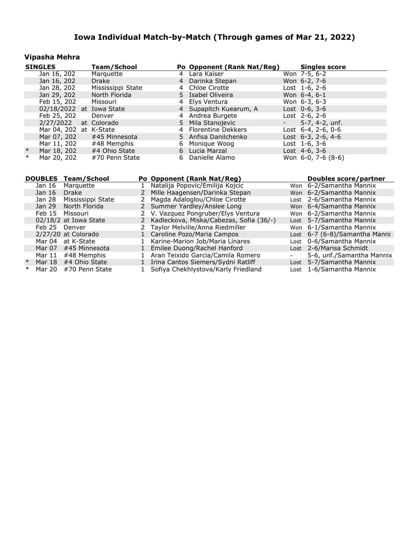### **Vipasha Mehra**

|        | <b>SINGLES</b>           | Team/School       |    | Po Opponent (Rank Nat/Reg) |                     | <b>Singles score</b>       |
|--------|--------------------------|-------------------|----|----------------------------|---------------------|----------------------------|
|        | Jan 16, 202              | Marquette         | 4  | Lara Kaiser                |                     | Won 7-5, 6-2               |
|        | Jan 16, 202              | <b>Drake</b>      |    | 4 Darinka Stepan           |                     | Won 6-2, 7-6               |
|        | Jan 28, 202              | Mississippi State |    | 4 Chloe Cirotte            |                     | Lost $1-6, 2-6$            |
|        | Jan 29, 202              | North Florida     |    | 5 Isabel Oliveira          |                     | Won 6-4, 6-1               |
|        | Feb 15, 202              | Missouri          |    | 4 Elys Ventura             |                     | Won $6-3, 6-3$             |
|        | 02/18/2022 at Iowa State |                   |    | 4 Supapitch Kuearum, A     |                     | Lost $0-6, 3-6$            |
|        | Feb 25, 202              | Denver            |    | 4 Andrea Burgete           |                     | Lost $2-6$ , $2-6$         |
|        | 2/27/2022                | at Colorado       |    | 5 Mila Stanojevic          | $\sigma_{\rm{max}}$ | 5-7, 4-2, unf.             |
|        | Mar 04, 202 at K-State   |                   |    | 4 Florentine Dekkers       |                     | Lost $6-4$ , $2-6$ , $0-6$ |
|        | Mar 07, 202              | #45 Minnesota     |    | 5 Anfisa Danilchenko       |                     | Lost $6-3$ , $2-6$ , $4-6$ |
|        | Mar 11, 202              | #48 Memphis       |    | 6 Monique Woog             |                     | Lost $1-6, 3-6$            |
| $\ast$ | Mar 18, 202              | #4 Ohio State     |    | 6 Lucia Marzal             |                     | Lost $4-6, 3-6$            |
| $\ast$ | Mar 20, 202              | #70 Penn State    | 6. | Danielle Alamo             |                     | Won $6-0$ , $7-6$ $(8-6)$  |

|   | <b>DOUBLES</b> | Team/School           |   | Po Opponent (Rank Nat/Reg)                | Doubles score/partner         |
|---|----------------|-----------------------|---|-------------------------------------------|-------------------------------|
|   | Jan 16         | Marquette             |   | Natalija Popovic/Emilija Kojcic           | Won 6-2/Samantha Mannix       |
|   | Jan 16         | <b>Drake</b>          |   | Mille Haagensen/Darinka Stepan            | Won 6-2/Samantha Mannix       |
|   | Jan 28         | Mississippi State     | 2 | Magda Adaloglou/Chloe Cirotte             | Lost 2-6/Samantha Mannix      |
|   | Jan 29         | North Florida         |   | 2 Summer Yardley/Anslee Long              | Won 6-4/Samantha Mannix       |
|   | Feb 15         | Missouri              |   | 2 V. Vazquez Pongruber/Elys Ventura       | Won 6-2/Samantha Mannix       |
|   |                | 02/18/2 at Iowa State |   | 2 Kadleckova, Miska/Cabezas, Sofia (36/-) | Lost 5-7/Samantha Mannix      |
|   | Feb 25         | Denver                |   | 2 Taylor Melville/Anna Riedmiller         | Won 6-1/Samantha Mannix       |
|   |                | 2/27/20 at Colorado   |   | 1 Caroline Pozo/Maria Campos              | Lost 6-7 (6-8)/Samantha Manni |
|   | Mar 04         | at K-State            |   | Karine-Marion Job/Maria Linares           | Lost 0-6/Samantha Mannix      |
|   | Mar 07         | #45 Minnesota         |   | Emilee Duong/Rachel Hanford               | Lost 2-6/Marisa Schmidt       |
|   | Mar 11         | #48 Memphis           |   | Aran Teixido Garcia/Camila Romero         | 5-6, unf./Samantha Mannix     |
|   | Mar 18         | #4 Ohio State         |   | Irina Cantos Siemers/Sydni Ratliff        | Lost 5-7/Samantha Mannix      |
| ∗ | Mar 20         | #70 Penn State        |   | Sofiya Chekhlystova/Karly Friedland       | Lost 1-6/Samantha Mannix      |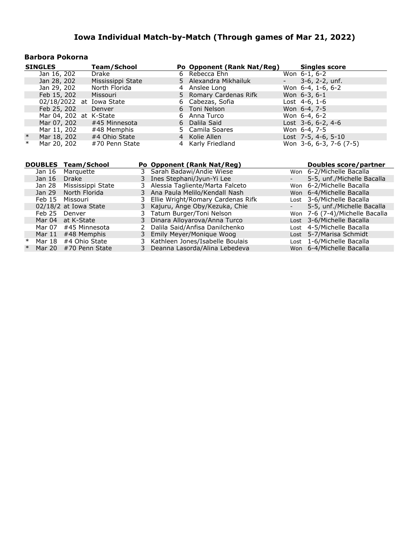### **Barbora Pokorna**

|        | <b>SINGLES</b>           | Team/School       |  | Po Opponent (Rank Nat/Reg) |                 | <b>Singles score</b>    |
|--------|--------------------------|-------------------|--|----------------------------|-----------------|-------------------------|
|        | Jan 16, 202              | Drake             |  | 6 Rebecca Ehn              |                 | Won $6-1, 6-2$          |
|        | Jan 28, 202              | Mississippi State |  | 5 Alexandra Mikhailuk      | $\sim$ 10 $\pm$ | $3-6$ , $2-2$ , unf.    |
|        | Jan 29, 202              | North Florida     |  | 4 Anslee Long              |                 | Won 6-4, 1-6, 6-2       |
|        | Feb 15, 202              | Missouri          |  | 5 Romary Cardenas Rifk     |                 | Won $6-3, 6-1$          |
|        | 02/18/2022 at Iowa State |                   |  | 6 Cabezas, Sofia           |                 | Lost $4-6, 1-6$         |
|        | Feb 25, 202              | Denver            |  | 6 Toni Nelson              |                 | Won 6-4, 7-5            |
|        | Mar 04, 202 at K-State   |                   |  | 6 Anna Turco               |                 | Won $6-4, 6-2$          |
|        | Mar 07, 202              | #45 Minnesota     |  | 6 Dalila Said              |                 | Lost $3-6, 6-2, 4-6$    |
|        | Mar 11, 202              | #48 Memphis       |  | 5 Camila Soares            |                 | Won 6-4, 7-5            |
| $\ast$ | Mar 18, 202              | #4 Ohio State     |  | 4 Kolie Allen              |                 | Lost 7-5, 4-6, 5-10     |
| $\ast$ | Mar 20, 202              | #70 Penn State    |  | 4 Karly Friedland          |                 | Won 3-6, 6-3, 7-6 (7-5) |

|        |                     | <b>DOUBLES Team/School</b> | Po Opponent (Rank Nat/Reg)          |                 | Doubles score/partner          |
|--------|---------------------|----------------------------|-------------------------------------|-----------------|--------------------------------|
|        | Jan 16<br>Marquette |                            | 3 Sarah Badawi/Andie Wiese          |                 | Won 6-2/Michelle Bacalla       |
|        | Jan 16              | Drake                      | 3 Ines Stephani/Jyun-Yi Lee         | $\sim$          | 5-5, unf./Michelle Bacalla     |
|        | Jan 28              | Mississippi State          | 3 Alessia Tagliente/Marta Falceto   |                 | Won 6-2/Michelle Bacalla       |
|        | Jan 29              | North Florida              | 3 Ana Paula Melilo/Kendall Nash     |                 | Won 6-4/Michelle Bacalla       |
|        |                     | Feb 15 Missouri            | 3 Ellie Wright/Romary Cardenas Rifk |                 | Lost 3-6/Michelle Bacalla      |
|        |                     | 02/18/2 at Iowa State      | 3 Kajuru, Ange Oby/Kezuka, Chie     | $\sim$ 10 $\pm$ | 5-5, unf./Michelle Bacalla     |
|        | Feb 25              | Denver                     | 3 Tatum Burger/Toni Nelson          |                 | Won 7-6 (7-4)/Michelle Bacalla |
|        |                     | Mar 04 at K-State          | 3 Dinara Alloyarova/Anna Turco      |                 | Lost 3-6/Michelle Bacalla      |
|        | Mar 07              | #45 Minnesota              | 2 Dalila Said/Anfisa Danilchenko    |                 | Lost 4-5/Michelle Bacalla      |
|        | Mar 11              | #48 Memphis                | 3 Emily Meyer/Monique Woog          |                 | Lost 5-7/Marisa Schmidt        |
| ∗      | Mar 18              | #4 Ohio State              | 3 Kathleen Jones/Isabelle Boulais   |                 | Lost 1-6/Michelle Bacalla      |
| $\ast$ | Mar 20              | #70 Penn State             | 3 Deanna Lasorda/Alina Lebedeva     |                 | Won 6-4/Michelle Bacalla       |
|        |                     |                            |                                     |                 |                                |